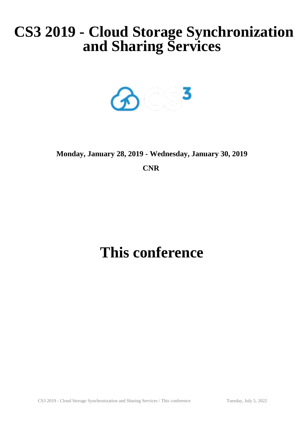# **CS3 2019 - Cloud Storage Synchronization and Sharing Services**



# **Monday, January 28, 2019 - Wednesday, January 30, 2019**

**CNR** 

# **This conference**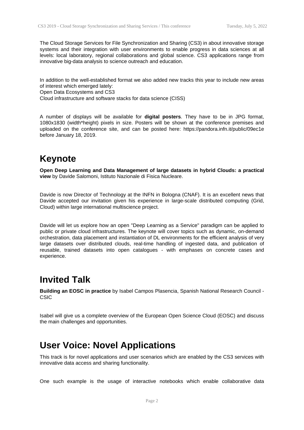The Cloud Storage Services for File Synchronization and Sharing (CS3) in about innovative storage systems and their integration with user environments to enable progress in data sciences at all levels: local laboratory, regional collaborations and global science. CS3 applications range from innovative big-data analysis to science outreach and education.

In addition to the well-established format we also added new tracks this year to include new areas of interest which emerged lately: Open Data Ecosystems and CS3

Cloud infrastructure and software stacks for data science (CISS)

A number of displays will be available for **digital posters**. They have to be in JPG format, 1080x1830 (width\*height) pixels in size. Posters will be shown at the conference premises and uploaded on the conference site, and can be posted here: https://pandora.infn.it/public/09ec1e before January 18, 2019.

# **Keynote**

**Open Deep Learning and Data Management of large datasets in hybrid Clouds: a practical view** by Davide Salomoni, Istituto Nazionale di Fisica Nucleare.

Davide is now Director of Technology at the INFN in Bologna (CNAF). It is an excellent news that Davide accepted our invitation given his experience in large-scale distributed computing (Grid, Cloud) within large international multiscience project.

Davide will let us explore how an open "Deep Learning as a Service" paradigm can be applied to public or private cloud infrastructures. The keynote will cover topics such as dynamic, on-demand orchestration, data placement and instantiation of DL environments for the efficient analysis of very large datasets over distributed clouds, real-time handling of ingested data, and publication of reusable, trained datasets into open catalogues - with emphases on concrete cases and experience.

## **Invited Talk**

**Building an EOSC in practice** by Isabel Campos Plasencia, Spanish National Research Council - **CSIC** 

Isabel will give us a complete overview of the European Open Science Cloud (EOSC) and discuss the main challenges and opportunities.

## **User Voice: Novel Applications**

This track is for novel applications and user scenarios which are enabled by the CS3 services with innovative data access and sharing functionality.

One such example is the usage of interactive notebooks which enable collaborative data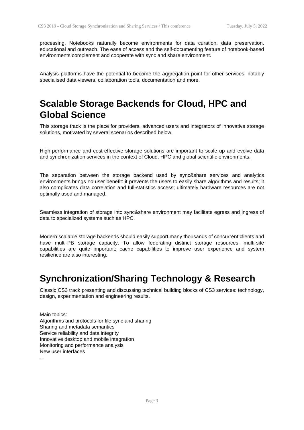processing. Notebooks naturally become environments for data curation, data preservation, educational and outreach. The ease of access and the self-documenting feature of notebook-based environments complement and cooperate with sync and share environment.

Analysis platforms have the potential to become the aggregation point for other services, notably specialised data viewers, collaboration tools, documentation and more.

# **Scalable Storage Backends for Cloud, HPC and Global Science**

This storage track is the place for providers, advanced users and integrators of innovative storage solutions, motivated by several scenarios described below.

High-performance and cost-effective storage solutions are important to scale up and evolve data and synchronization services in the context of Cloud, HPC and global scientific environments.

The separation between the storage backend used by sync&share services and analytics environments brings no user benefit: it prevents the users to easily share algorithms and results; it also complicates data correlation and full-statistics access; ultimately hardware resources are not optimally used and managed.

Seamless integration of storage into sync&share environment may facilitate egress and ingress of data to specialized systems such as HPC.

Modern scalable storage backends should easily support many thousands of concurrent clients and have multi-PB storage capacity. To allow federating distinct storage resources, multi-site capabilities are quite important; cache capabilities to improve user experience and system resilience are also interesting.

#### **Synchronization/Sharing Technology & Research**

Classic CS3 track presenting and discussing technical building blocks of CS3 services: technology, design, experimentation and engineering results.

Main topics: Algorithms and protocols for file sync and sharing Sharing and metadata semantics Service reliability and data integrity Innovative desktop and mobile integration Monitoring and performance analysis New user interfaces

...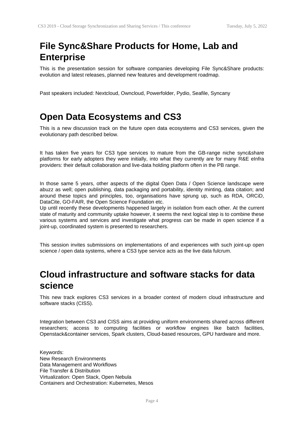# **File Sync&Share Products for Home, Lab and Enterprise**

This is the presentation session for software companies developing File Sync&Share products: evolution and latest releases, planned new features and development roadmap.

Past speakers included: Nextcloud, Owncloud, Powerfolder, Pydio, Seafile, Syncany

## **Open Data Ecosystems and CS3**

This is a new discussion track on the future open data ecosystems and CS3 services, given the evolutionary path described below.

It has taken five years for CS3 type services to mature from the GB-range niche sync&share platforms for early adopters they were initially, into what they currently are for many R&E eInfra providers: their default collaboration and live-data holding platform often in the PB range.

In those same 5 years, other aspects of the digital Open Data / Open Science landscape were abuzz as well; open publishing, data packaging and portability, identity minting, data citation; and around these topics and principles, too, organisations have sprung up, such as RDA, ORCiD, DataCite, GO-FAIR, the Open Science Foundation etc.

Up until recently these developments happened largely in isolation from each other. At the current state of maturity and community uptake however, it seems the next logical step is to combine these various systems and services and investigate what progress can be made in open science if a joint-up, coordinated system is presented to researchers.

This session invites submissions on implementations of and experiences with such joint-up open science / open data systems, where a CS3 type service acts as the live data fulcrum.

# **Cloud infrastructure and software stacks for data science**

This new track explores CS3 services in a broader context of modern cloud infrastructure and software stacks (CISS).

Integration between CS3 and CISS aims at providing uniform environments shared across different researchers; access to computing facilities or workflow engines like batch facilities, Openstack&container services, Spark clusters, Cloud-based resources, GPU hardware and more.

Keywords: New Research Environments Data Management and Workflows File Transfer & Distribution Virtualization: Open Stack, Open Nebula Containers and Orchestration: Kubernetes, Mesos